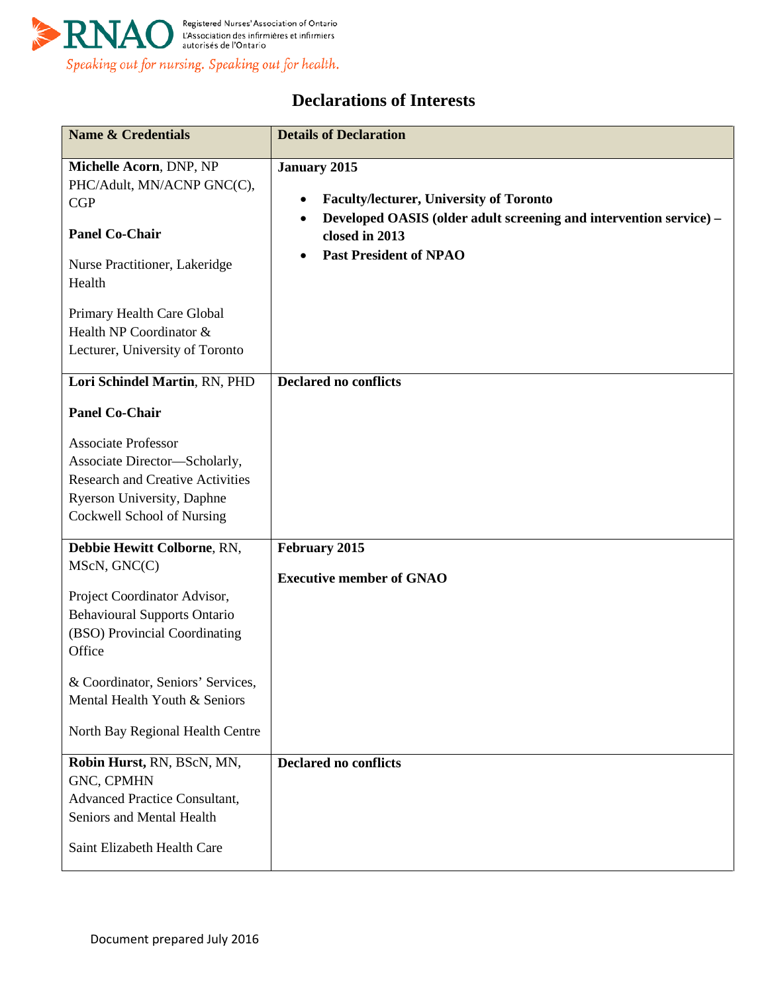

## **Declarations of Interests**

| <b>Name &amp; Credentials</b>                                                                                                                                                                                                                                           | <b>Details of Declaration</b>                                                                                                                                                                                            |
|-------------------------------------------------------------------------------------------------------------------------------------------------------------------------------------------------------------------------------------------------------------------------|--------------------------------------------------------------------------------------------------------------------------------------------------------------------------------------------------------------------------|
| Michelle Acorn, DNP, NP<br>PHC/Adult, MN/ACNP GNC(C),<br>CGP<br><b>Panel Co-Chair</b><br>Nurse Practitioner, Lakeridge<br>Health<br>Primary Health Care Global<br>Health NP Coordinator &<br>Lecturer, University of Toronto                                            | <b>January 2015</b><br><b>Faculty/lecturer, University of Toronto</b><br>$\bullet$<br>Developed OASIS (older adult screening and intervention service) –<br>$\bullet$<br>closed in 2013<br><b>Past President of NPAO</b> |
| Lori Schindel Martin, RN, PHD<br><b>Panel Co-Chair</b><br><b>Associate Professor</b><br>Associate Director-Scholarly,<br><b>Research and Creative Activities</b><br>Ryerson University, Daphne<br>Cockwell School of Nursing                                            | <b>Declared no conflicts</b>                                                                                                                                                                                             |
| Debbie Hewitt Colborne, RN,<br>MScN, GNC(C)<br>Project Coordinator Advisor,<br><b>Behavioural Supports Ontario</b><br>(BSO) Provincial Coordinating<br>Office<br>& Coordinator, Seniors' Services.<br>Mental Health Youth & Seniors<br>North Bay Regional Health Centre | February 2015<br><b>Executive member of GNAO</b>                                                                                                                                                                         |
| Robin Hurst, RN, BScN, MN,<br>GNC, CPMHN<br><b>Advanced Practice Consultant,</b><br>Seniors and Mental Health<br>Saint Elizabeth Health Care                                                                                                                            | <b>Declared no conflicts</b>                                                                                                                                                                                             |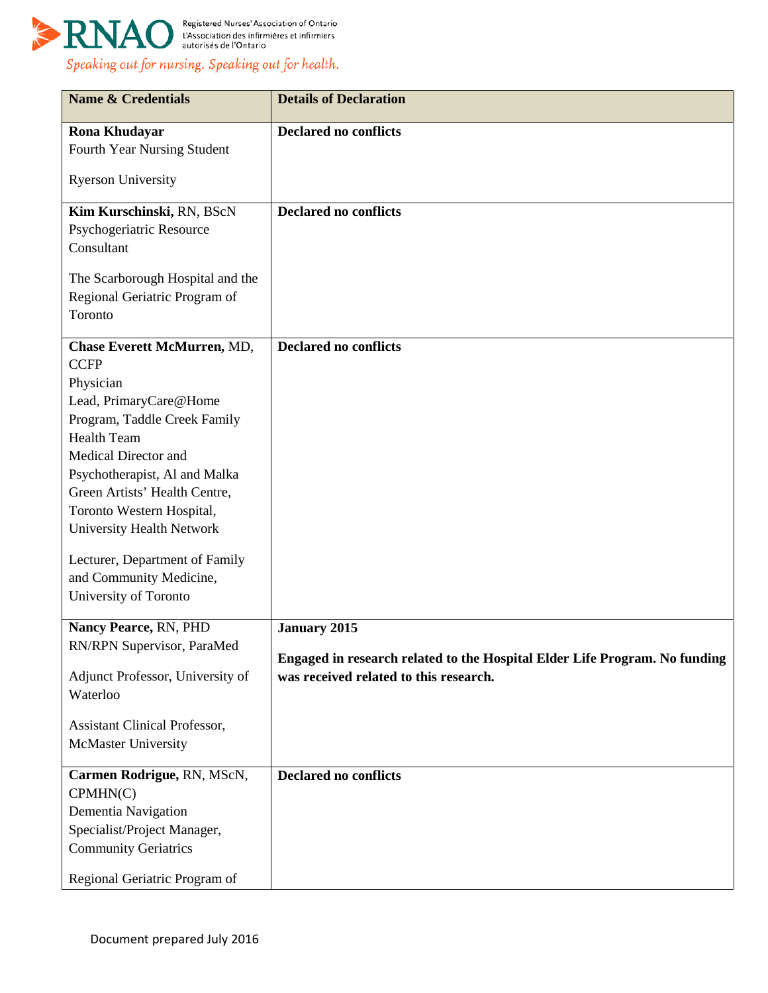

| <b>Name &amp; Credentials</b>                                  | <b>Details of Declaration</b>                                              |
|----------------------------------------------------------------|----------------------------------------------------------------------------|
| <b>Rona Khudayar</b>                                           | <b>Declared no conflicts</b>                                               |
| Fourth Year Nursing Student                                    |                                                                            |
| <b>Ryerson University</b>                                      |                                                                            |
| Kim Kurschinski, RN, BScN                                      | <b>Declared no conflicts</b>                                               |
| Psychogeriatric Resource                                       |                                                                            |
| Consultant                                                     |                                                                            |
| The Scarborough Hospital and the                               |                                                                            |
| Regional Geriatric Program of                                  |                                                                            |
| Toronto                                                        |                                                                            |
| Chase Everett McMurren, MD,                                    | <b>Declared no conflicts</b>                                               |
| <b>CCFP</b>                                                    |                                                                            |
| Physician                                                      |                                                                            |
| Lead, PrimaryCare@Home                                         |                                                                            |
| Program, Taddle Creek Family                                   |                                                                            |
| <b>Health Team</b>                                             |                                                                            |
| <b>Medical Director and</b>                                    |                                                                            |
| Psychotherapist, Al and Malka<br>Green Artists' Health Centre, |                                                                            |
| Toronto Western Hospital,                                      |                                                                            |
| University Health Network                                      |                                                                            |
|                                                                |                                                                            |
| Lecturer, Department of Family                                 |                                                                            |
| and Community Medicine,                                        |                                                                            |
| University of Toronto                                          |                                                                            |
| Nancy Pearce, RN, PHD                                          | <b>January 2015</b>                                                        |
| RN/RPN Supervisor, ParaMed                                     | Engaged in research related to the Hospital Elder Life Program. No funding |
| Adjunct Professor, University of                               | was received related to this research.                                     |
| Waterloo                                                       |                                                                            |
| <b>Assistant Clinical Professor,</b>                           |                                                                            |
| McMaster University                                            |                                                                            |
| Carmen Rodrigue, RN, MScN,                                     | <b>Declared no conflicts</b>                                               |
| CPMHN(C)                                                       |                                                                            |
| Dementia Navigation                                            |                                                                            |
| Specialist/Project Manager,                                    |                                                                            |
| <b>Community Geriatrics</b>                                    |                                                                            |
| Regional Geriatric Program of                                  |                                                                            |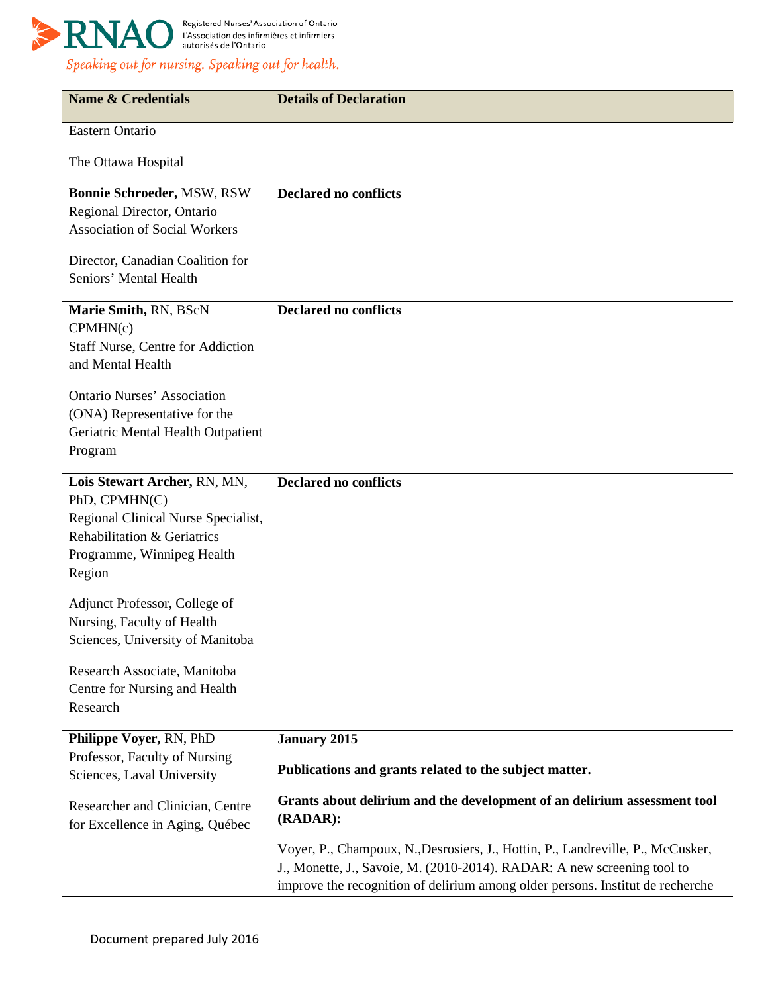

| <b>Name &amp; Credentials</b>                                                                                                                                                                                             | <b>Details of Declaration</b>                                                                                                                                                                                                                |
|---------------------------------------------------------------------------------------------------------------------------------------------------------------------------------------------------------------------------|----------------------------------------------------------------------------------------------------------------------------------------------------------------------------------------------------------------------------------------------|
| Eastern Ontario                                                                                                                                                                                                           |                                                                                                                                                                                                                                              |
| The Ottawa Hospital                                                                                                                                                                                                       |                                                                                                                                                                                                                                              |
| Bonnie Schroeder, MSW, RSW<br>Regional Director, Ontario<br><b>Association of Social Workers</b>                                                                                                                          | <b>Declared no conflicts</b>                                                                                                                                                                                                                 |
| Director, Canadian Coalition for<br>Seniors' Mental Health                                                                                                                                                                |                                                                                                                                                                                                                                              |
| Marie Smith, RN, BScN<br>CPMHN(c)<br><b>Staff Nurse, Centre for Addiction</b><br>and Mental Health<br><b>Ontario Nurses' Association</b><br>(ONA) Representative for the<br>Geriatric Mental Health Outpatient<br>Program | <b>Declared no conflicts</b>                                                                                                                                                                                                                 |
| Lois Stewart Archer, RN, MN,<br>PhD, CPMHN(C)<br>Regional Clinical Nurse Specialist,<br>Rehabilitation & Geriatrics<br>Programme, Winnipeg Health<br>Region                                                               | <b>Declared no conflicts</b>                                                                                                                                                                                                                 |
| Adjunct Professor, College of<br>Nursing, Faculty of Health<br>Sciences, University of Manitoba                                                                                                                           |                                                                                                                                                                                                                                              |
| Research Associate, Manitoba<br>Centre for Nursing and Health<br>Research                                                                                                                                                 |                                                                                                                                                                                                                                              |
| Philippe Voyer, RN, PhD<br>Professor, Faculty of Nursing<br>Sciences, Laval University                                                                                                                                    | <b>January 2015</b><br>Publications and grants related to the subject matter.                                                                                                                                                                |
| Researcher and Clinician, Centre<br>for Excellence in Aging, Québec                                                                                                                                                       | Grants about delirium and the development of an delirium assessment tool<br>(RADAR):                                                                                                                                                         |
|                                                                                                                                                                                                                           | Voyer, P., Champoux, N., Desrosiers, J., Hottin, P., Landreville, P., McCusker,<br>J., Monette, J., Savoie, M. (2010-2014). RADAR: A new screening tool to<br>improve the recognition of delirium among older persons. Institut de recherche |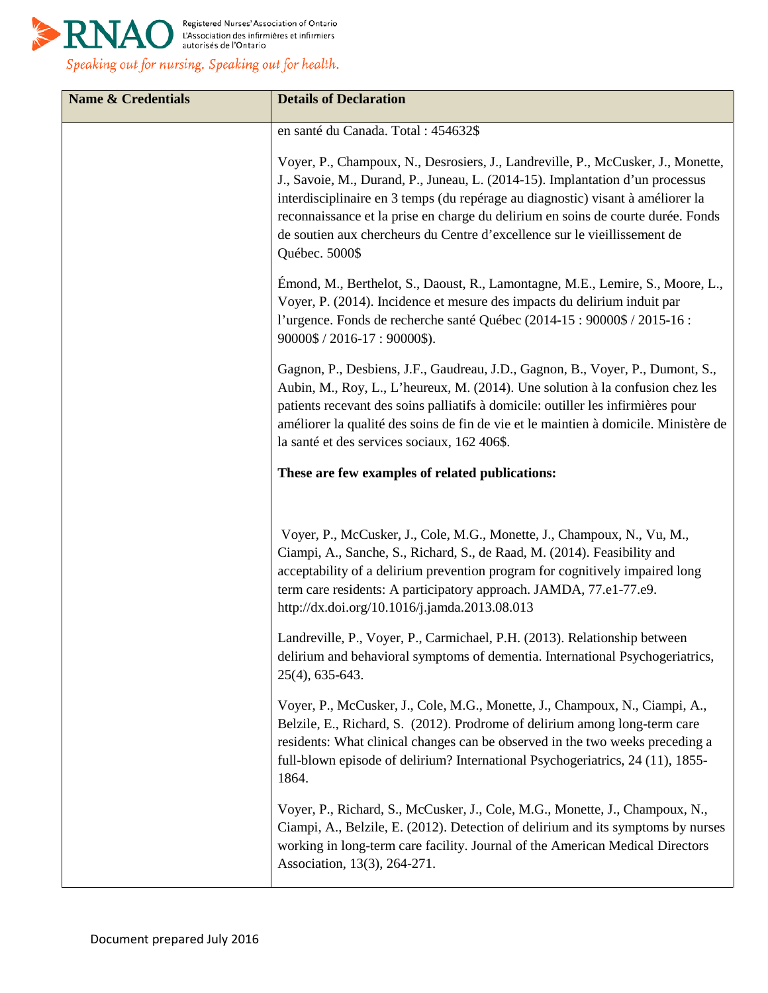

| <b>Name &amp; Credentials</b> | <b>Details of Declaration</b>                                                                                                                                                                                                                                                                                                                                                                                                           |
|-------------------------------|-----------------------------------------------------------------------------------------------------------------------------------------------------------------------------------------------------------------------------------------------------------------------------------------------------------------------------------------------------------------------------------------------------------------------------------------|
|                               | en santé du Canada. Total : 454632\$                                                                                                                                                                                                                                                                                                                                                                                                    |
|                               | Voyer, P., Champoux, N., Desrosiers, J., Landreville, P., McCusker, J., Monette,<br>J., Savoie, M., Durand, P., Juneau, L. (2014-15). Implantation d'un processus<br>interdisciplinaire en 3 temps (du repérage au diagnostic) visant à améliorer la<br>reconnaissance et la prise en charge du delirium en soins de courte durée. Fonds<br>de soutien aux chercheurs du Centre d'excellence sur le vieillissement de<br>Québec. 5000\$ |
|                               | Émond, M., Berthelot, S., Daoust, R., Lamontagne, M.E., Lemire, S., Moore, L.,<br>Voyer, P. (2014). Incidence et mesure des impacts du delirium induit par<br>l'urgence. Fonds de recherche santé Québec (2014-15 : 90000\$ / 2015-16 :<br>90000\$ / 2016-17 : 90000\$).                                                                                                                                                                |
|                               | Gagnon, P., Desbiens, J.F., Gaudreau, J.D., Gagnon, B., Voyer, P., Dumont, S.,<br>Aubin, M., Roy, L., L'heureux, M. (2014). Une solution à la confusion chez les<br>patients recevant des soins palliatifs à domicile: outiller les infirmières pour<br>améliorer la qualité des soins de fin de vie et le maintien à domicile. Ministère de<br>la santé et des services sociaux, 162 406\$.                                            |
|                               | These are few examples of related publications:                                                                                                                                                                                                                                                                                                                                                                                         |
|                               |                                                                                                                                                                                                                                                                                                                                                                                                                                         |
|                               | Voyer, P., McCusker, J., Cole, M.G., Monette, J., Champoux, N., Vu, M.,<br>Ciampi, A., Sanche, S., Richard, S., de Raad, M. (2014). Feasibility and<br>acceptability of a delirium prevention program for cognitively impaired long<br>term care residents: A participatory approach. JAMDA, 77.e1-77.e9.<br>http://dx.doi.org/10.1016/j.jamda.2013.08.013                                                                              |
|                               | Landreville, P., Voyer, P., Carmichael, P.H. (2013). Relationship between<br>delirium and behavioral symptoms of dementia. International Psychogeriatrics,<br>25(4), 635-643.                                                                                                                                                                                                                                                           |
|                               | Voyer, P., McCusker, J., Cole, M.G., Monette, J., Champoux, N., Ciampi, A.,<br>Belzile, E., Richard, S. (2012). Prodrome of delirium among long-term care<br>residents: What clinical changes can be observed in the two weeks preceding a<br>full-blown episode of delirium? International Psychogeriatrics, 24 (11), 1855-<br>1864.                                                                                                   |
|                               | Voyer, P., Richard, S., McCusker, J., Cole, M.G., Monette, J., Champoux, N.,<br>Ciampi, A., Belzile, E. (2012). Detection of delirium and its symptoms by nurses<br>working in long-term care facility. Journal of the American Medical Directors<br>Association, 13(3), 264-271.                                                                                                                                                       |